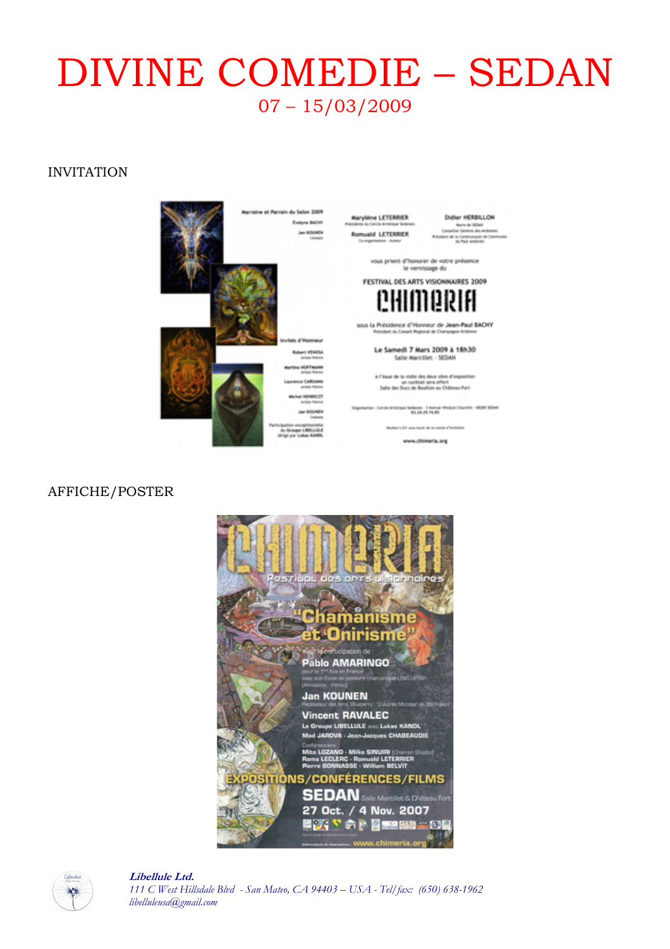# DIVINE COMEDIE – SEDAN 07 – 15/03/2009

#### INVITATION

Marylène LETERRIER ald LETERRIER Didler HERBILLON Naire de Villett<br>a Général des A

vous prient d'honorer de votre présence<br>le vernissage du

FESTIVAL DES ARTS VISIONNAIRES 2009

sous la Présidence d'Honneur de Jean-Paul BACHY

Le Samedi 7 Mars 2009 à 18h30<br>Salle Marcillet - SEDAN

A l'issue de la visite des deux sites d'expositions<br>un cocktail sera offent<br>Salle des Ducs de Boullion au Château Part

a : Carche echanique Sedanum - 3 Avenue Winston Churchill - 19209 30344

lan Little sous mark de ce carten af tro

www.chimeria.org



#### AFFICHE/POSTER



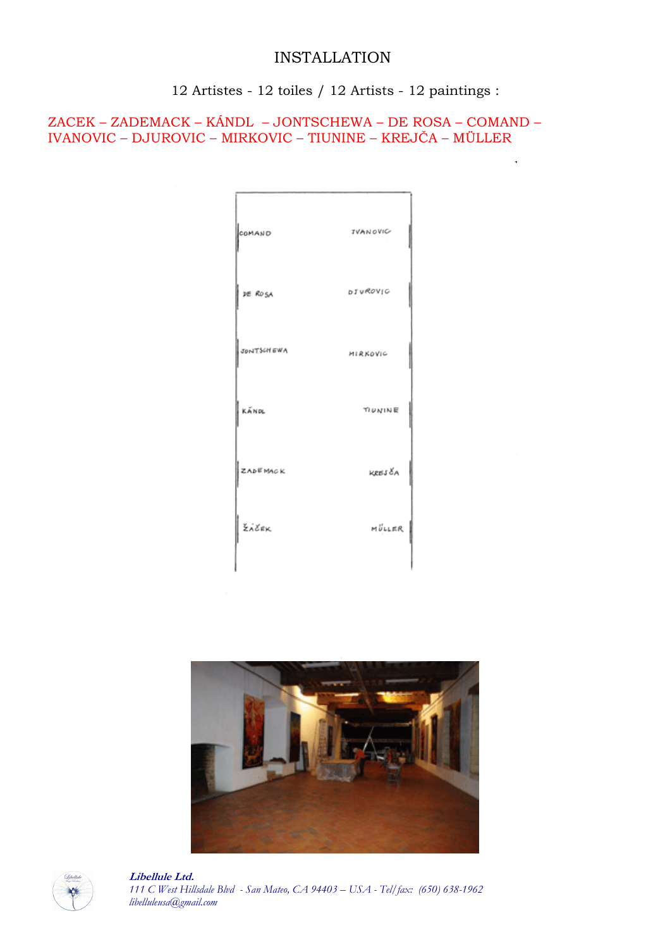# INSTALLATION

12 Artistes - 12 toiles / 12 Artists - 12 paintings :

à.

ZACEK – ZADEMACK – KÁNDL – JONTSCHEWA – DE ROSA – COMAND – IVANOVIC – DJUROVIC – MIRKOVIC – TIUNINE – KREJČA – MÜLLER

| COMAND            | IVANOVIC |
|-------------------|----------|
| DE ROSA           | DIUROVIC |
| <b>JONTSCHEWA</b> | MIRKOVIC |
| KÁNOL             | TIUNINE  |
| <b>ZADEMACK</b>   | KREJ ČA  |
| žiček             | MÜLLER   |
|                   |          |



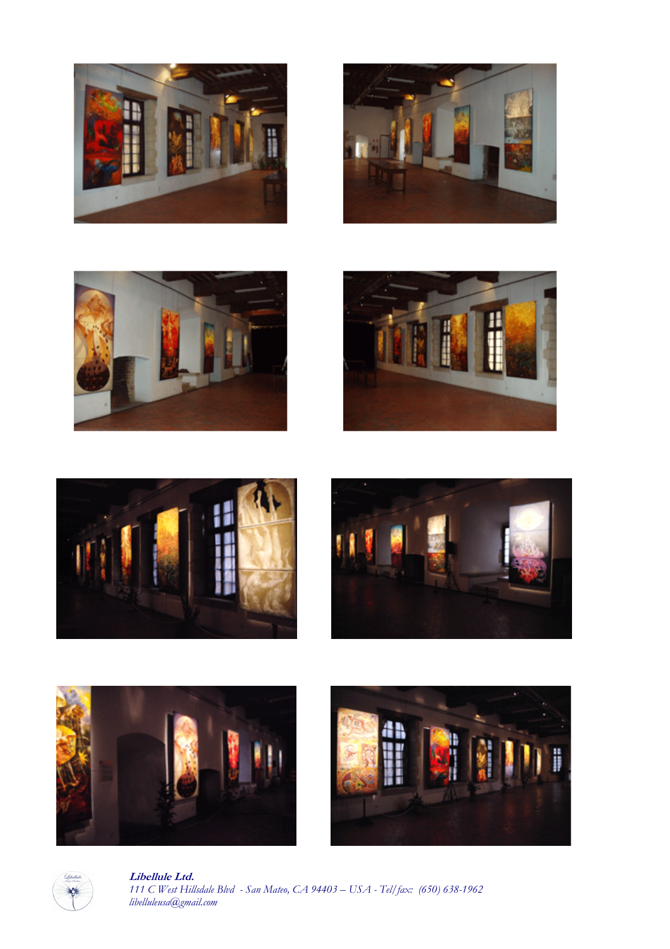















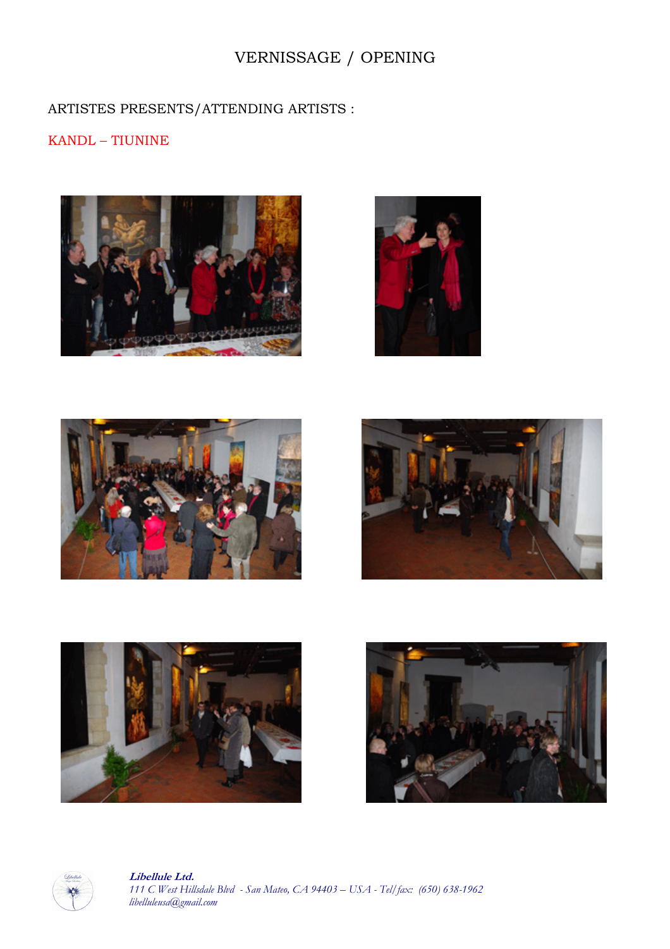# VERNISSAGE / OPENING

# ARTISTES PRESENTS/ATTENDING ARTISTS :

### KANDL – TIUNINE













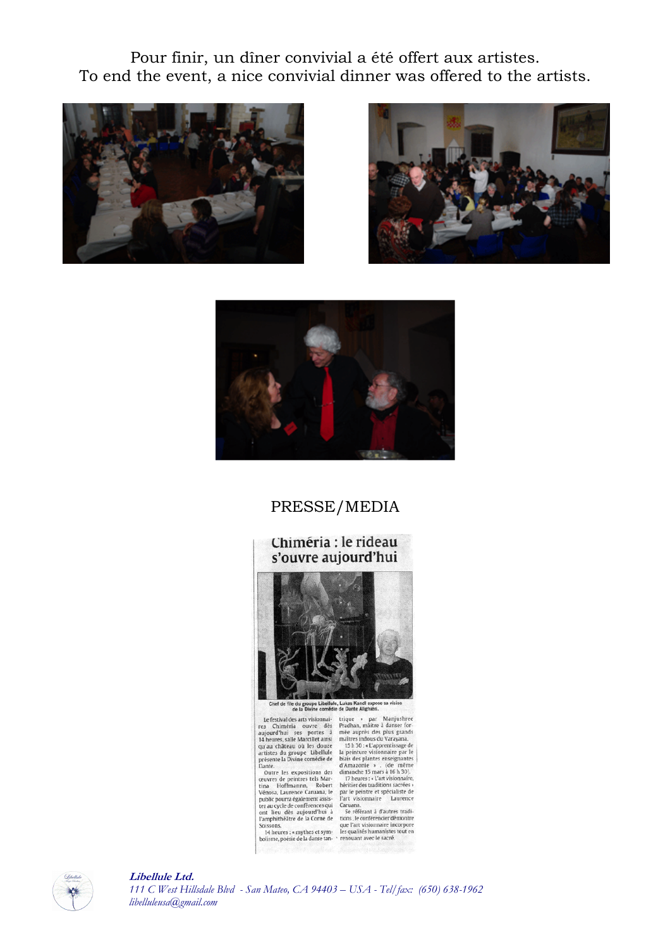Pour finir, un dîner convivial a été offert aux artistes. To end the event, a nice convivial dinner was offered to the artists.







## PRESSE/MEDIA

#### Chiméria : le rideau s'ouvre aujourd'hui



Chef de file du groupe Libellule, Lukas Kandl expose sa vision<br>de la Divine comédie de Dante Alighiéri.

Chef de file groupe Libellie, Luisa Kandi expose sa vivio de la Divine condide de Dante Alightiei.<br>
Le festival des arts visionnais trique » par Manjushree res Chiméria ouvre des Pradhan, maïtre à danser for-<br>
aujourd'hui